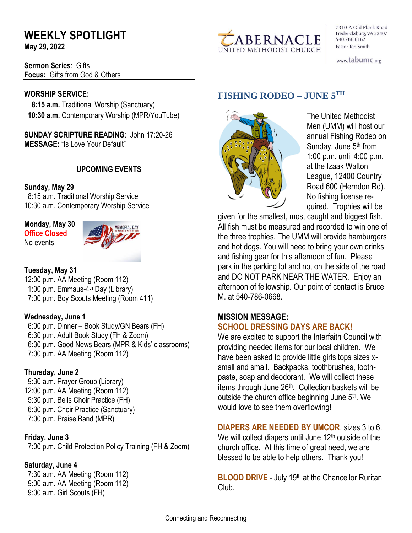# **WEEKLY SPOTLIGHT**

**May 29, 2022** 

**Sermon Series**: Gifts **Focus:** Gifts from God & Others

## **WORSHIP SERVICE:**

 **8:15 a.m.** Traditional Worship (Sanctuary)  **10:30 a.m.** Contemporary Worship (MPR/YouTube)

**SUNDAY SCRIPTURE READING**: John 17:20-26 **MESSAGE:** "Is Love Your Default"

## **UPCOMING EVENTS**

\_\_\_\_\_\_\_\_\_\_\_\_\_\_\_\_\_\_\_\_\_\_\_\_\_\_\_\_\_\_\_\_\_\_\_\_\_\_\_\_\_\_\_\_\_\_

## **Sunday, May 29**

8:15 a.m. Traditional Worship Service 10:30 a.m. Contemporary Worship Service

**Monday, May 30 Office Closed**  No events.



## **Tuesday, May 31**

12:00 p.m. AA Meeting (Room 112) 1:00 p.m. Emmaus-4<sup>th</sup> Day (Library) 7:00 p.m. Boy Scouts Meeting (Room 411)

## **Wednesday, June 1**

 6:00 p.m. Dinner – Book Study/GN Bears (FH) 6:30 p.m. Adult Book Study (FH & Zoom) 6:30 p.m. Good News Bears (MPR & Kids' classrooms) 7:00 p.m. AA Meeting (Room 112)

## **Thursday, June 2**

9:30 a.m. Prayer Group (Library) 12:00 p.m. AA Meeting (Room 112) 5:30 p.m. Bells Choir Practice (FH) 6:30 p.m. Choir Practice (Sanctuary) 7:00 p.m. Praise Band (MPR)

## **Friday, June 3**

7:00 p.m. Child Protection Policy Training (FH & Zoom)

## **Saturday, June 4**

 7:30 a.m. AA Meeting (Room 112) 9:00 a.m. AA Meeting (Room 112) 9:00 a.m. Girl Scouts (FH)



7310-A Old Plank Road Fredericksburg, VA 22407 540.786.6162 Pastor Ted Smith

www.tabumc.org

# **FISHING RODEO – JUNE 5TH**



The United Methodist Men (UMM) will host our annual Fishing Rodeo on Sunday, June 5<sup>th</sup> from 1:00 p.m. until 4:00 p.m. at the Izaak Walton League, 12400 Country Road 600 (Herndon Rd). No fishing license required. Trophies will be

given for the smallest, most caught and biggest fish. All fish must be measured and recorded to win one of the three trophies. The UMM will provide hamburgers and hot dogs. You will need to bring your own drinks and fishing gear for this afternoon of fun. Please park in the parking lot and not on the side of the road and DO NOT PARK NEAR THE WATER. Enjoy an afternoon of fellowship. Our point of contact is Bruce M. at 540-786-0668.

## **MISSION MESSAGE: SCHOOL DRESSING DAYS ARE BACK!**

We are excited to support the Interfaith Council with providing needed items for our local children. We have been asked to provide little girls tops sizes xsmall and small. Backpacks, toothbrushes, toothpaste, soap and deodorant. We will collect these items through June 26<sup>th</sup>. Collection baskets will be outside the church office beginning June 5<sup>th</sup>. We would love to see them overflowing!

## **DIAPERS ARE NEEDED BY UMCOR**, sizes 3 to 6.

We will collect diapers until June  $12<sup>th</sup>$  outside of the church office. At this time of great need, we are blessed to be able to help others. Thank you!

**BLOOD DRIVE** - July 19th at the Chancellor Ruritan Club.